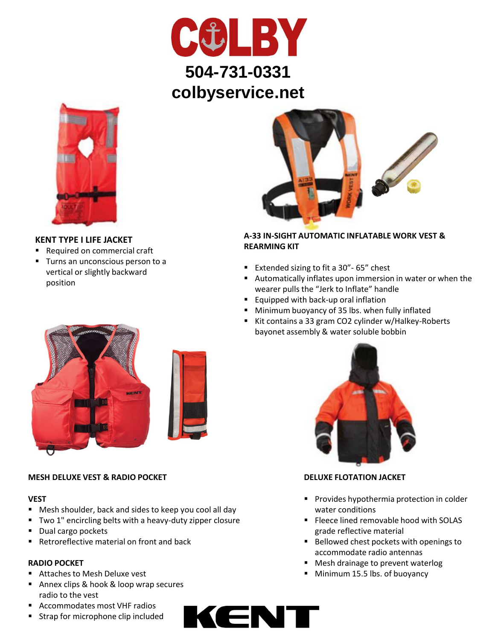



## **KENT TYPE I LIFE JACKET**

- Required on commercial craft
- **Turns an unconscious person to a** vertical or slightly backward position



## **A-33 IN-SIGHT AUTOMATIC INFLATABLE WORK VEST & REARMING KIT**

- Extended sizing to fit a 30" 65" chest
- Automatically inflates upon immersion in water or when the wearer pulls the "Jerk to Inflate" handle
- **Equipped with back-up oral inflation**
- **Minimum buoyancy of 35 lbs. when fully inflated**
- Kit contains a 33 gram CO2 cylinder w/Halkey-Roberts bayonet assembly & water soluble bobbin



### **MESH DELUXE VEST & RADIO POCKET**

#### **VEST**

- Mesh shoulder, back and sides to keep you cool all day
- Two 1" encircling belts with a heavy-duty zipper closure
- Dual cargo pockets
- Retroreflective material on front and back

#### **RADIO POCKET**

- Attaches to Mesh Deluxe vest
- Annex clips & hook & loop wrap secures radio to the vest
- Accommodates most VHF radios
- **Strap for microphone clip included**





### **DELUXE FLOTATION JACKET**

- **Provides hypothermia protection in colder** water conditions
- **Fleece lined removable hood with SOLAS** grade reflective material
- Bellowed chest pockets with openings to accommodate radio antennas
- Mesh drainage to prevent waterlog
- **Minimum 15.5 lbs. of buoyancy**